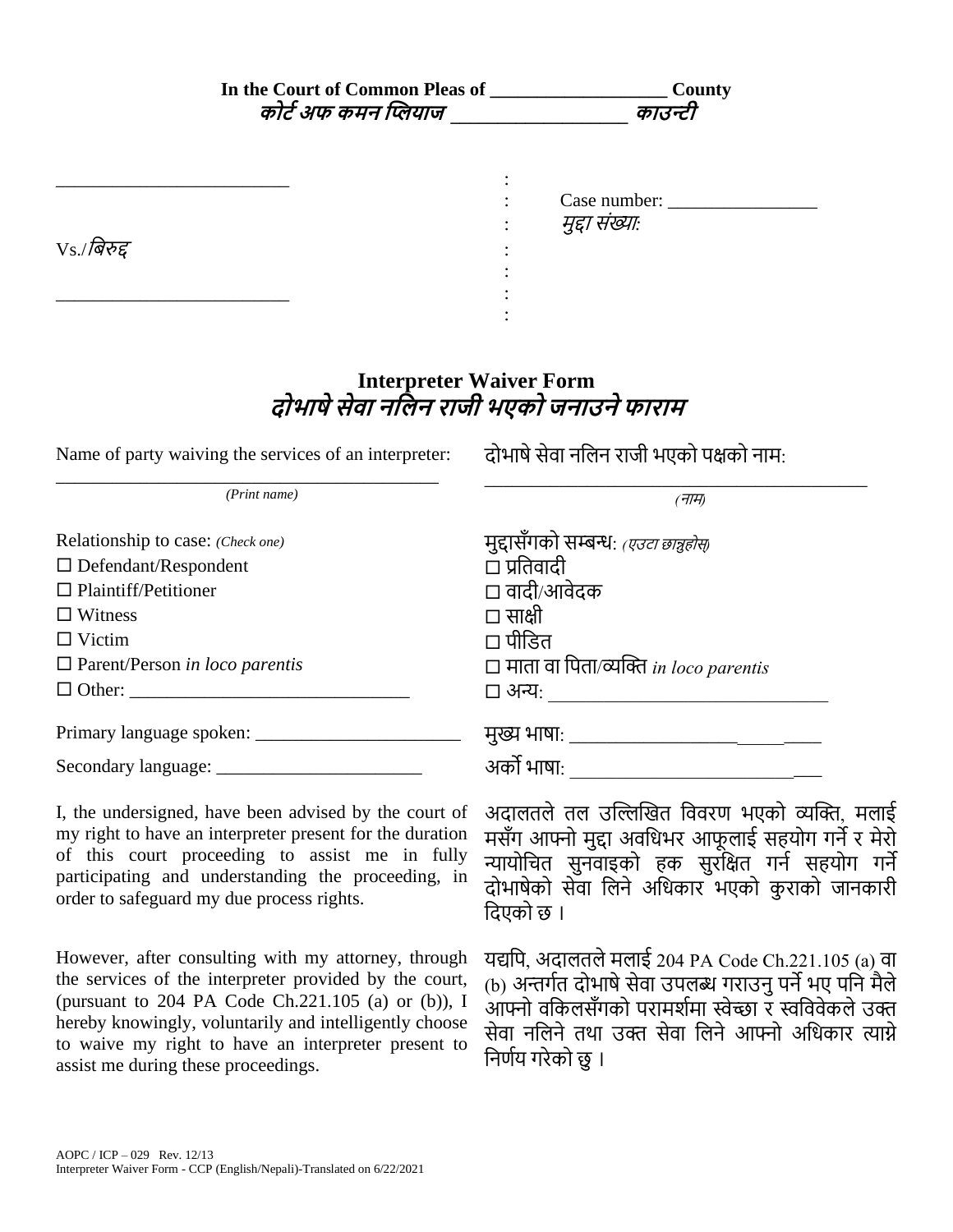| कोर्ट अफ कमन प्लियाज ______________                                                                                                                                                                                                                                 | <b>County</b><br>काउन्टी                                                                                                                                                                               |
|---------------------------------------------------------------------------------------------------------------------------------------------------------------------------------------------------------------------------------------------------------------------|--------------------------------------------------------------------------------------------------------------------------------------------------------------------------------------------------------|
| $V_S$ /बिरुद्द                                                                                                                                                                                                                                                      | मुद्दा संख्याः                                                                                                                                                                                         |
| Name of party waiving the services of an interpreter:                                                                                                                                                                                                               | <b>Interpreter Waiver Form</b><br>दोभाषे सेवा नलिन राजी भएको जनाउने फाराम<br>दोभाषे सेवा नलिन राजी भएको पक्षको नाम:                                                                                    |
| (Print name)                                                                                                                                                                                                                                                        | (71)                                                                                                                                                                                                   |
| Relationship to case: (Check one)<br>$\Box$ Defendant/Respondent<br>$\Box$ Plaintiff/Petitioner<br>$\Box$ Witness<br>$\Box$ Victim<br>$\Box$ Parent/Person in loco parentis                                                                                         | मुद्दासँगको सम्बन्धः <i>(एउटा छान्नुहोस्)</i><br>□ प्रतिवादी<br>□ वादी/आवेदक<br>□ साक्षी<br>□ पीडित<br>$\Box$ माता वा पिता/व्यक्ति in loco parentis                                                    |
|                                                                                                                                                                                                                                                                     | मुख्य भाषा: _<br>अर्को भाषा:                                                                                                                                                                           |
| I, the undersigned, have been advised by the court of<br>my right to have an interpreter present for the duration<br>of this court proceeding to assist me in fully<br>participating and understanding the proceeding, in<br>order to cofeeyed my due necessariable | अदालतले तल उल्लिखित विवरण भएको व्यक्ति, मलाई<br>मसँग आफ्नो मुद्दा अवधिभर आफूलाई सहयोग गर्ने र मेरो<br>न्यायोचित सुनवाइको हक सुरक्षित गर्न सहयोग गर्ने<br>दोभाषेको सेवा लिने अधिकार भएको कुराको जानकारी |

बदएको छ ।

However, after consulting with my attorney, through the services of the interpreter provided by the court, (pursuant to 204 PA Code Ch.221.105 (a) or (b)), I hereby knowingly, voluntarily and intelligently choose to waive my right to have an interpreter present to assist me during these proceedings.

order to safeguard my due process rights.

यद्यपि, अदालतले मलाई 204 PA Code Ch.221.105 (a) वा (b) अन्तर्गत दोभाषे सेवा उपलब्ध गराउनु पर्ने भए पनि मैले आफ्नो वकिलसँगको परामर्शमा स्वेच्छा र स्वविवेकले उक्त सेवा नलिने तथा उक्त सेवा लिने आफ्नो अधिकार त्याग्ने निर्णय गरेको छु ।